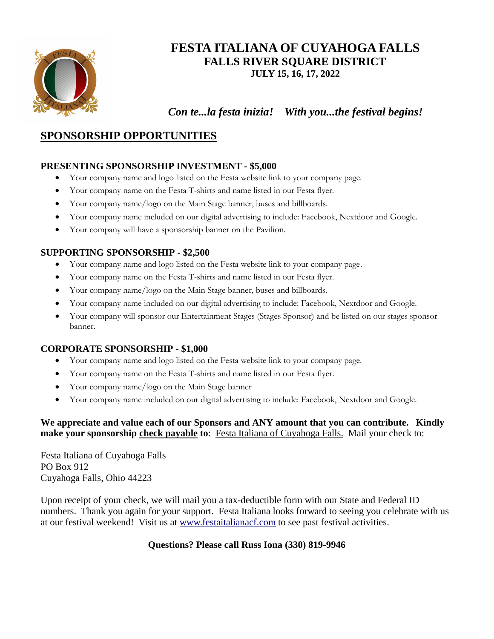

# **FESTA ITALIANA OF CUYAHOGA FALLS FALLS RIVER SQUARE DISTRICT JULY 15, 16, 17, 2022**

 *Con te...la festa inizia! With you...the festival begins!*

## **SPONSORSHIP OPPORTUNITIES**

## **PRESENTING SPONSORSHIP INVESTMENT - \$5,000**

- · Your company name and logo listed on the Festa website link to your company page.
- · Your company name on the Festa T-shirts and name listed in our Festa flyer.
- · Your company name/logo on the Main Stage banner, buses and billboards.
- · Your company name included on our digital advertising to include: Facebook, Nextdoor and Google.
- · Your company will have a sponsorship banner on the Pavilion.

## **SUPPORTING SPONSORSHIP - \$2,500**

- · Your company name and logo listed on the Festa website link to your company page.
- · Your company name on the Festa T-shirts and name listed in our Festa flyer.
- · Your company name/logo on the Main Stage banner, buses and billboards.
- · Your company name included on our digital advertising to include: Facebook, Nextdoor and Google.
- · Your company will sponsor our Entertainment Stages (Stages Sponsor) and be listed on our stages sponsor banner.

#### **CORPORATE SPONSORSHIP - \$1,000**

- · Your company name and logo listed on the Festa website link to your company page.
- · Your company name on the Festa T-shirts and name listed in our Festa flyer.
- Your company name/logo on the Main Stage banner
- · Your company name included on our digital advertising to include: Facebook, Nextdoor and Google.

### **We appreciate and value each of our Sponsors and ANY amount that you can contribute. Kindly make your sponsorship check payable to**: Festa Italiana of Cuyahoga Falls. Mail your check to:

Festa Italiana of Cuyahoga Falls PO Box 912 Cuyahoga Falls, Ohio 44223

Upon receipt of your check, we will mail you a tax-deductible form with our State and Federal ID numbers. Thank you again for your support. Festa Italiana looks forward to seeing you celebrate with us at our festival weekend! Visit us at <www.festaitalianacf.com> to see past festival activities.

#### **Questions? Please call Russ Iona (330) 819-9946**